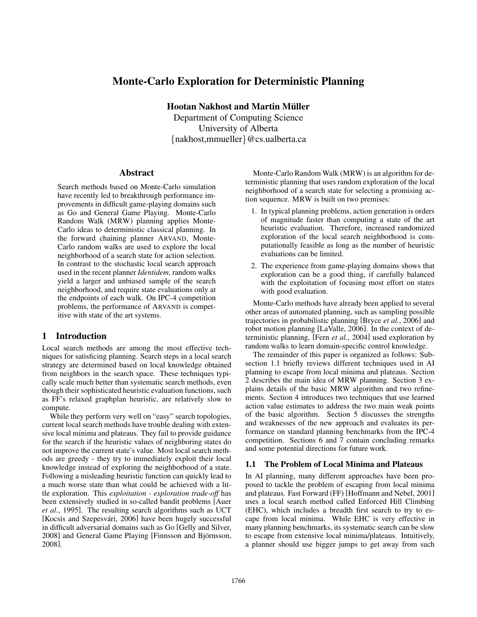# Monte-Carlo Exploration for Deterministic Planning

Hootan Nakhost and Martin Müller

Department of Computing Science University of Alberta {nakhost,mmueller}@cs.ualberta.ca

#### Abstract

Search methods based on Monte-Carlo simulation have recently led to breakthrough performance improvements in difficult game-playing domains such as Go and General Game Playing. Monte-Carlo Random Walk (MRW) planning applies Monte-Carlo ideas to deterministic classical planning. In the forward chaining planner ARVAND, Monte-Carlo random walks are used to explore the local neighborhood of a search state for action selection. In contrast to the stochastic local search approach used in the recent planner *Identidem*, random walks yield a larger and unbiased sample of the search neighborhood, and require state evaluations only at the endpoints of each walk. On IPC-4 competition problems, the performance of ARVAND is competitive with state of the art systems.

## 1 Introduction

Local search methods are among the most effective techniques for satisficing planning. Search steps in a local search strategy are determined based on local knowledge obtained from neighbors in the search space. These techniques typically scale much better than systematic search methods, even though their sophisticated heuristic evaluation functions, such as FF's relaxed graphplan heuristic, are relatively slow to compute.

While they perform very well on "easy" search topologies, current local search methods have trouble dealing with extensive local minima and plateaus. They fail to provide guidance for the search if the heuristic values of neighboring states do not improve the current state's value. Most local search methods are greedy - they try to immediately exploit their local knowledge instead of exploring the neighborhood of a state. Following a misleading heuristic function can quickly lead to a much worse state than what could be achieved with a little exploration. This *exploitation - exploration trade-off* has been extensively studied in so-called bandit problems [Auer *et al.*, 1995]. The resulting search algorithms such as UCT [Kocsis and Szepesvári, 2006] have been hugely successful in difficult adversarial domains such as Go [Gelly and Silver, 2008] and General Game Playing [Finnsson and Björnsson, 2008].

Monte-Carlo Random Walk (MRW) is an algorithm for deterministic planning that uses random exploration of the local neighborhood of a search state for selecting a promising action sequence. MRW is built on two premises:

- 1. In typical planning problems, action generation is orders of magnitude faster than computing a state of the art heuristic evaluation. Therefore, increased randomized exploration of the local search neighborhood is computationally feasible as long as the number of heuristic evaluations can be limited.
- 2. The experience from game-playing domains shows that exploration can be a good thing, if carefully balanced with the exploitation of focusing most effort on states with good evaluation.

Monte-Carlo methods have already been applied to several other areas of automated planning, such as sampling possible trajectories in probabilistic planning [Bryce *et al.*, 2006] and robot motion planning [LaValle, 2006]. In the context of deterministic planning, [Fern *et al.*, 2004] used exploration by random walks to learn domain-specific control knowledge.

The remainder of this paper is organized as follows: Subsection 1.1 briefly reviews different techniques used in AI planning to escape from local minima and plateaus. Section 2 describes the main idea of MRW planning. Section 3 explains details of the basic MRW algorithm and two refinements. Section 4 introduces two techniques that use learned action value estimates to address the two main weak points of the basic algorithm. Section 5 discusses the strengths and weaknesses of the new approach and evaluates its performance on standard planning benchmarks from the IPC-4 competition. Sections 6 and 7 contain concluding remarks and some potential directions for future work.

## 1.1 The Problem of Local Minima and Plateaus

In AI planning, many different approaches have been proposed to tackle the problem of escaping from local minima and plateaus. Fast Forward (FF) [Hoffmann and Nebel, 2001] uses a local search method called Enforced Hill Climbing (EHC), which includes a breadth first search to try to escape from local minima. While EHC is very effective in many planning benchmarks, its systematic search can be slow to escape from extensive local minima/plateaus. Intuitively, a planner should use bigger jumps to get away from such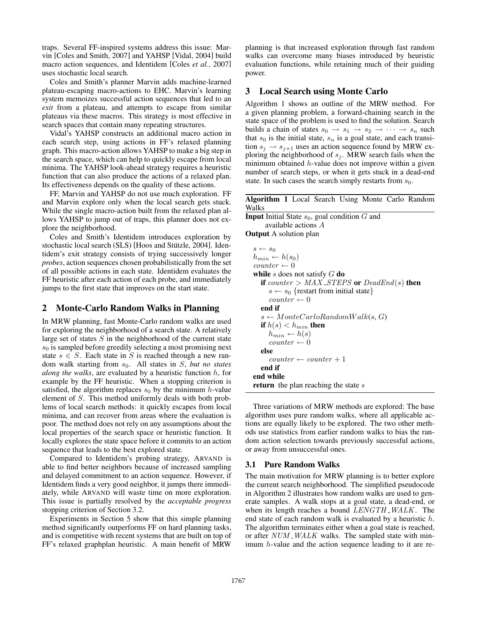traps. Several FF-inspired systems address this issue: Marvin [Coles and Smith, 2007] and YAHSP [Vidal, 2004] build macro action sequences, and Identidem [Coles *et al.*, 2007] uses stochastic local search.

Coles and Smith's planner Marvin adds machine-learned plateau-escaping macro-actions to EHC. Marvin's learning system memoizes successful action sequences that led to an *exit* from a plateau, and attempts to escape from similar plateaus via these macros. This strategy is most effective in search spaces that contain many repeating structures.

Vidal's YAHSP constructs an additional macro action in each search step, using actions in FF's relaxed planning graph. This macro-action allows YAHSP to make a big step in the search space, which can help to quickly escape from local minima. The YAHSP look-ahead strategy requires a heuristic function that can also produce the actions of a relaxed plan. Its effectiveness depends on the quality of these actions.

FF, Marvin and YAHSP do not use much exploration. FF and Marvin explore only when the local search gets stuck. While the single macro-action built from the relaxed plan allows YAHSP to jump out of traps, this planner does not explore the neighborhood.

Coles and Smith's Identidem introduces exploration by stochastic local search (SLS) [Hoos and Stützle, 2004]. Identidem's exit strategy consists of trying successively longer *probes*, action sequences chosen probabilistically from the set of all possible actions in each state. Identidem evaluates the FF heuristic after each action of each probe, and immediately jumps to the first state that improves on the start state.

## 2 Monte-Carlo Random Walks in Planning

In MRW planning, fast Monte-Carlo random walks are used for exploring the neighborhood of a search state. A relatively large set of states  $S$  in the neighborhood of the current state  $s<sub>0</sub>$  is sampled before greedily selecting a most promising next state  $s \in S$ . Each state in S is reached through a new random walk starting from  $s_0$ . All states in S, *but no states along the walks*, are evaluated by a heuristic function  $h$ , for example by the FF heuristic. When a stopping criterion is satisfied, the algorithm replaces  $s_0$  by the minimum h-value element of S. This method uniformly deals with both problems of local search methods: it quickly escapes from local minima, and can recover from areas where the evaluation is poor. The method does not rely on any assumptions about the local properties of the search space or heuristic function. It locally explores the state space before it commits to an action sequence that leads to the best explored state.

Compared to Identidem's probing strategy, ARVAND is able to find better neighbors because of increased sampling and delayed commitment to an action sequence. However, if Identidem finds a very good neighbor, it jumps there immediately, while ARVAND will waste time on more exploration. This issue is partially resolved by the *acceptable progress* stopping criterion of Section 3.2.

Experiments in Section 5 show that this simple planning method significantly outperforms FF on hard planning tasks, and is competitive with recent systems that are built on top of FF's relaxed graphplan heuristic. A main benefit of MRW planning is that increased exploration through fast random walks can overcome many biases introduced by heuristic evaluation functions, while retaining much of their guiding power.

## 3 Local Search using Monte Carlo

Algorithm 1 shows an outline of the MRW method. For a given planning problem, a forward-chaining search in the state space of the problem is used to find the solution. Search builds a chain of states  $s_0 \rightarrow s_1 \rightarrow s_2 \rightarrow \cdots \rightarrow s_n$  such that  $s_0$  is the initial state,  $s_n$  is a goal state, and each transition  $s_j \rightarrow s_{j+1}$  uses an action sequence found by MRW exploring the neighborhood of  $s_j$ . MRW search fails when the minimum obtained h-value does not improve within a given number of search steps, or when it gets stuck in a dead-end state. In such cases the search simply restarts from  $s_0$ .

| Algorithm 1 Local Search Using Monte Carlo Random |  |  |  |  |
|---------------------------------------------------|--|--|--|--|
| Walks                                             |  |  |  |  |

| <b>Input</b> Initial State $s_0$ , goal condition G and |
|---------------------------------------------------------|
| available actions A                                     |
| <b>Output</b> A solution plan                           |
|                                                         |
| $s \leftarrow s_0$                                      |
| $h_{min} \leftarrow h(s_0)$                             |
| $counter \leftarrow 0$                                  |
| while s does not satisfy $G$ do                         |
| if counter > $MAX\_STEPS$ or $DeadEnd(s)$ then          |
| $s \leftarrow s_0$ {restart from initial state}         |
| $counter \leftarrow 0$                                  |
| end if                                                  |
| $s \leftarrow Monte CarloRandomWalk(s, G)$              |
| <b>if</b> $h(s) < h_{min}$ then                         |
| $h_{min} \leftarrow h(s)$                               |
| $counter \leftarrow 0$                                  |
| else                                                    |
| $counter \leftarrow counter + 1$                        |
| end if                                                  |
| end while                                               |
| <b>return</b> the plan reaching the state s             |
|                                                         |

Three variations of MRW methods are explored: The base algorithm uses pure random walks, where all applicable actions are equally likely to be explored. The two other methods use statistics from earlier random walks to bias the random action selection towards previously successful actions, or away from unsuccessful ones.

## 3.1 Pure Random Walks

The main motivation for MRW planning is to better explore the current search neighborhood. The simplified pseudocode in Algorithm 2 illustrates how random walks are used to generate samples. A walk stops at a goal state, a dead-end, or when its length reaches a bound LENGTH\_WALK. The end state of each random walk is evaluated by a heuristic h. The algorithm terminates either when a goal state is reached, or after  $NUM$   $WALK$  walks. The sampled state with minimum h-value and the action sequence leading to it are re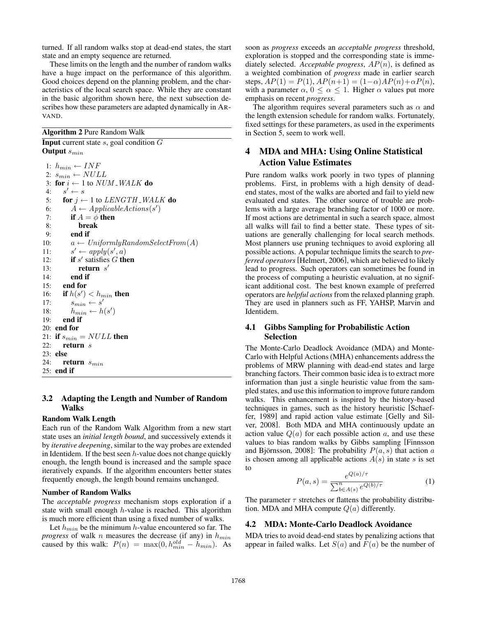turned. If all random walks stop at dead-end states, the start state and an empty sequence are returned.

These limits on the length and the number of random walks have a huge impact on the performance of this algorithm. Good choices depend on the planning problem, and the characteristics of the local search space. While they are constant in the basic algorithm shown here, the next subsection describes how these parameters are adapted dynamically in AR-VAND.

#### Algorithm 2 Pure Random Walk

**Input** current state  $s$ , goal condition  $G$ Output  $s_{min}$ 

1:  $h_{min} \leftarrow INF$ 2:  $s_{min} \leftarrow NULL$ 3: for  $i \leftarrow 1$  to  $NUM$   $WALK$  do  $4:$  $s' \leftarrow s$ 5: for  $j \leftarrow 1$  to LENGTH\_WALK do 6:  $\AA \leftarrow \text{Appliedh}(\mathcal{s}')$ 6:  $A \leftarrow Applica$ <br>7: **if**  $A = \phi$  then 8: break 9: end if 10:  $a \leftarrow UniformlyRandomSelectFrom(A)$  $11:$  $\gamma \leftarrow apply(s', a)$ 12: if s' satisfies  $G$  then 13: **return**  $s'$ 14: end if 15: end for 16: if  $h(s') < h_{min}$  then 17:  $s_{min} \leftarrow s'$ 18:  $h_{min} \leftarrow h(s')$ 19: end if 20: end for 21: if  $s_{min} = NULL$  then 22: return s 23: else 24: return  $s_{min}$ 25: end if

## 3.2 Adapting the Length and Number of Random Walks

#### Random Walk Length

Each run of the Random Walk Algorithm from a new start state uses an *initial length bound*, and successively extends it by *iterative deepening*, similar to the way probes are extended in Identidem. If the best seen  $h$ -value does not change quickly enough, the length bound is increased and the sample space iteratively expands. If the algorithm encounters better states frequently enough, the length bound remains unchanged.

#### Number of Random Walks

The *acceptable progress* mechanism stops exploration if a state with small enough  $h$ -value is reached. This algorithm is much more efficient than using a fixed number of walks.

Let  $h_{min}$  be the minimum h-value encountered so far. The *progress* of walk *n* measures the decrease (if any) in  $h_{min}$ caused by this walk:  $P(n) = \max(0, h_{min}^{old} - h_{min})$ . As

soon as *progress* exceeds an *acceptable progress* threshold, exploration is stopped and the corresponding state is immediately selected. *Acceptable progress*,  $AP(n)$ , is defined as a weighted combination of *progress* made in earlier search steps,  $AP(1) = P(1)$ ,  $AP(n+1) = (1-\alpha)AP(n) + \alpha P(n)$ , with a parameter  $\alpha$ ,  $0 \leq \alpha \leq 1$ . Higher  $\alpha$  values put more emphasis on recent *progress*.

The algorithm requires several parameters such as  $\alpha$  and the length extension schedule for random walks. Fortunately, fixed settings for these parameters, as used in the experiments in Section 5, seem to work well.

## 4 MDA and MHA: Using Online Statistical Action Value Estimates

Pure random walks work poorly in two types of planning problems. First, in problems with a high density of deadend states, most of the walks are aborted and fail to yield new evaluated end states. The other source of trouble are problems with a large average branching factor of 1000 or more. If most actions are detrimental in such a search space, almost all walks will fail to find a better state. These types of situations are generally challenging for local search methods. Most planners use pruning techniques to avoid exploring all possible actions. A popular technique limits the search to *preferred operators* [Helmert, 2006], which are believed to likely lead to progress. Such operators can sometimes be found in the process of computing a heuristic evaluation, at no significant additional cost. The best known example of preferred operators are *helpful actions* from the relaxed planning graph. They are used in planners such as FF, YAHSP, Marvin and Identidem.

### 4.1 Gibbs Sampling for Probabilistic Action Selection

The Monte-Carlo Deadlock Avoidance (MDA) and Monte-Carlo with Helpful Actions (MHA) enhancements address the problems of MRW planning with dead-end states and large branching factors. Their common basic idea is to extract more information than just a single heuristic value from the sampled states, and use this information to improve future random walks. This enhancement is inspired by the history-based techniques in games, such as the history heuristic [Schaeffer, 1989] and rapid action value estimate [Gelly and Silver, 2008]. Both MDA and MHA continuously update an action value  $Q(a)$  for each possible action a, and use these values to bias random walks by Gibbs sampling [Finnsson and Björnsson, 2008]: The probability  $P(a, s)$  that action a is chosen among all applicable actions  $A(s)$  in state s is set to

$$
P(a,s) = \frac{e^{Q(a)/\tau}}{\sum_{b \in A(s)}^{n} e^{Q(b)/\tau}}
$$
 (1)

The parameter  $\tau$  stretches or flattens the probability distribution. MDA and MHA compute  $Q(a)$  differently.

#### 4.2 MDA: Monte-Carlo Deadlock Avoidance

MDA tries to avoid dead-end states by penalizing actions that appear in failed walks. Let  $S(a)$  and  $F(a)$  be the number of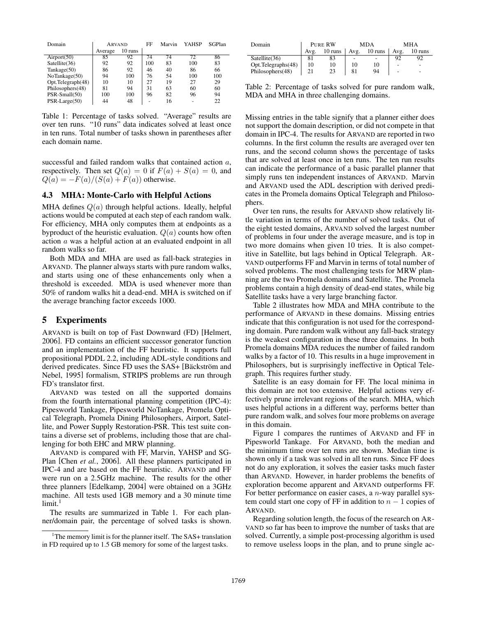| Domain            | <b>ARVAND</b> |         | FF  | Marvin | YAHSP | SGPlan |
|-------------------|---------------|---------|-----|--------|-------|--------|
|                   | Average       | 10 runs |     |        |       |        |
| Airport(50)       | 85            | 92      | 74  | 74     | 72    | 86     |
| Satellite(36)     | 92            | 92      | 100 | 83     | 100   | 83     |
| Tankage(50)       | 86            | 92      | 46  | 40     | 86    | 66     |
| NoTankage(50)     | 94            | 100     | 76  | 54     | 100   | 100    |
| Opt.Telegraph(48) | 10            | 10      | 27  | 19     | 27    | 29     |
| Philosophers(48)  | 81            | 94      | 31  | 63     | 60    | 60     |
| PSR-Small(50)     | 100           | 100     | 96  | 82     | 96    | 94     |
| PSR-Large(50)     | 44            | 48      | -   | 16     | ۰     | 22.    |

Table 1: Percentage of tasks solved. "Average" results are over ten runs. "10 runs" data indicates solved at least once in ten runs. Total number of tasks shown in parentheses after each domain name.

successful and failed random walks that contained action a, respectively. Then set  $Q(a) = 0$  if  $F(a) + S(a) = 0$ , and  $Q(a) = -F(a)/(S(a) + F(a))$  otherwise.

#### 4.3 MHA: Monte-Carlo with Helpful Actions

MHA defines  $Q(a)$  through helpful actions. Ideally, helpful actions would be computed at each step of each random walk. For efficiency, MHA only computes them at endpoints as a byproduct of the heuristic evaluation.  $Q(a)$  counts how often action a was a helpful action at an evaluated endpoint in all random walks so far.

Both MDA and MHA are used as fall-back strategies in ARVAND. The planner always starts with pure random walks, and starts using one of these enhancements only when a threshold is exceeded. MDA is used whenever more than 50% of random walks hit a dead-end. MHA is switched on if the average branching factor exceeds 1000.

#### 5 Experiments

ARVAND is built on top of Fast Downward (FD) [Helmert, 2006]. FD contains an efficient successor generator function and an implementation of the FF heuristic. It supports full propositional PDDL 2.2, including ADL-style conditions and derived predicates. Since FD uses the SAS+ [Bäckström and Nebel, 1995] formalism, STRIPS problems are run through FD's translator first.

ARVAND was tested on all the supported domains from the fourth international planning competition (IPC-4): Pipesworld Tankage, Pipesworld NoTankage, Promela Optical Telegraph, Promela Dining Philosophers, Airport, Satellite, and Power Supply Restoration-PSR. This test suite contains a diverse set of problems, including those that are challenging for both EHC and MRW planning.

ARVAND is compared with FF, Marvin, YAHSP and SG-Plan [Chen *et al.*, 2006]. All these planners participated in IPC-4 and are based on the FF heuristic. ARVAND and FF were run on a 2.5GHz machine. The results for the other three planners [Edelkamp, 2004] were obtained on a 3GHz machine. All tests used 1GB memory and a 30 minute time  $limit.<sup>1</sup>$ 

The results are summarized in Table 1. For each planner/domain pair, the percentage of solved tasks is shown.

| Domain             | PURE RW |         | <b>MDA</b> |         | MHA               |         |
|--------------------|---------|---------|------------|---------|-------------------|---------|
|                    | Avg.    | 10 runs | Avg.       | 10 runs | Avg.              | 10 runs |
| Satellite (36)     | 81      | 83      |            |         | 92                | 92      |
| Opt.Telegraphs(48) | 10      | 10      | 10         | 10      | $\qquad \qquad -$ | -       |
| Philosophers(48)   | 21      | 23      | 81         | 94      | $\qquad \qquad -$ | -       |

Table 2: Percentage of tasks solved for pure random walk, MDA and MHA in three challenging domains.

Missing entries in the table signify that a planner either does not support the domain description, or did not compete in that domain in IPC-4. The results for ARVAND are reported in two columns. In the first column the results are averaged over ten runs, and the second column shows the percentage of tasks that are solved at least once in ten runs. The ten run results can indicate the performance of a basic parallel planner that simply runs ten independent instances of ARVAND. Marvin and ARVAND used the ADL description with derived predicates in the Promela domains Optical Telegraph and Philosophers.

Over ten runs, the results for ARVAND show relatively little variation in terms of the number of solved tasks. Out of the eight tested domains, ARVAND solved the largest number of problems in four under the average measure, and is top in two more domains when given 10 tries. It is also competitive in Satellite, but lags behind in Optical Telegraph. AR-VAND outperforms FF and Marvin in terms of total number of solved problems. The most challenging tests for MRW planning are the two Promela domains and Satellite. The Promela problems contain a high density of dead-end states, while big Satellite tasks have a very large branching factor.

Table 2 illustrates how MDA and MHA contribute to the performance of ARVAND in these domains. Missing entries indicate that this configuration is not used for the corresponding domain. Pure random walk without any fall-back strategy is the weakest configuration in these three domains. In both Promela domains MDA reduces the number of failed random walks by a factor of 10. This results in a huge improvement in Philosophers, but is surprisingly ineffective in Optical Telegraph. This requires further study.

Satellite is an easy domain for FF. The local minima in this domain are not too extensive. Helpful actions very effectively prune irrelevant regions of the search. MHA, which uses helpful actions in a different way, performs better than pure random walk, and solves four more problems on average in this domain.

Figure 1 compares the runtimes of ARVAND and FF in Pipesworld Tankage. For ARVAND, both the median and the minimum time over ten runs are shown. Median time is shown only if a task was solved in all ten runs. Since FF does not do any exploration, it solves the easier tasks much faster than ARVAND. However, in harder problems the benefits of exploration become apparent and ARVAND outperforms FF. For better performance on easier cases, a n-way parallel system could start one copy of FF in addition to  $n - 1$  copies of ARVAND.

Regarding solution length, the focus of the research on AR-VAND so far has been to improve the number of tasks that are solved. Currently, a simple post-processing algorithm is used to remove useless loops in the plan, and to prune single ac-

<sup>&</sup>lt;sup>1</sup>The memory limit is for the planner itself. The SAS+ translation in FD required up to 1.5 GB memory for some of the largest tasks.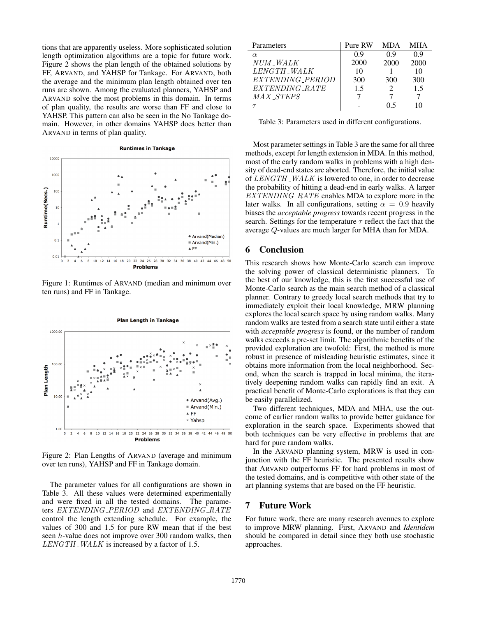tions that are apparently useless. More sophisticated solution length optimization algorithms are a topic for future work. Figure 2 shows the plan length of the obtained solutions by FF, ARVAND, and YAHSP for Tankage. For ARVAND, both the average and the minimum plan length obtained over ten runs are shown. Among the evaluated planners, YAHSP and ARVAND solve the most problems in this domain. In terms of plan quality, the results are worse than FF and close to YAHSP. This pattern can also be seen in the No Tankage domain. However, in other domains YAHSP does better than ARVAND in terms of plan quality.



Figure 1: Runtimes of ARVAND (median and minimum over ten runs) and FF in Tankage.



Figure 2: Plan Lengths of ARVAND (average and minimum over ten runs), YAHSP and FF in Tankage domain.

The parameter values for all configurations are shown in Table 3. All these values were determined experimentally and were fixed in all the tested domains. The parameters EXTENDING\_PERIOD and EXTENDING\_RATE control the length extending schedule. For example, the values of 300 and 1.5 for pure RW mean that if the best seen h-value does not improve over 300 random walks, then  $LENGTH$  WALK is increased by a factor of 1.5.

| Parameters       | Pure RW | MDA  | MHA  |
|------------------|---------|------|------|
| $\alpha$         | 09      | 09   | 0.9  |
| NUM_WALK         | 2000    | 2000 | 2000 |
| LENGTH WALK      | 10      |      | 10   |
| EXTENDING_PERIOD | 300     | 300  | 300  |
| EXTENDING_RATE   | 1.5     |      | 1.5  |
| MAX_STEPS        |         |      |      |
|                  |         | () 5 |      |

Table 3: Parameters used in different configurations.

Most parameter settings in Table 3 are the same for all three methods, except for length extension in MDA. In this method, most of the early random walks in problems with a high density of dead-end states are aborted. Therefore, the initial value of LENGTH\_WALK is lowered to one, in order to decrease the probability of hitting a dead-end in early walks. A larger  $EXTENDING\_RATE$  enables MDA to explore more in the later walks. In all configurations, setting  $\alpha = 0.9$  heavily biases the *acceptable progress* towards recent progress in the search. Settings for the temperature  $\tau$  reflect the fact that the average Q-values are much larger for MHA than for MDA.

## 6 Conclusion

This research shows how Monte-Carlo search can improve the solving power of classical deterministic planners. To the best of our knowledge, this is the first successful use of Monte-Carlo search as the main search method of a classical planner. Contrary to greedy local search methods that try to immediately exploit their local knowledge, MRW planning explores the local search space by using random walks. Many random walks are tested from a search state until either a state with *acceptable progress* is found, or the number of random walks exceeds a pre-set limit. The algorithmic benefits of the provided exploration are twofold: First, the method is more robust in presence of misleading heuristic estimates, since it obtains more information from the local neighborhood. Second, when the search is trapped in local minima, the iteratively deepening random walks can rapidly find an exit. A practical benefit of Monte-Carlo explorations is that they can be easily parallelized.

Two different techniques, MDA and MHA, use the outcome of earlier random walks to provide better guidance for exploration in the search space. Experiments showed that both techniques can be very effective in problems that are hard for pure random walks.

In the ARVAND planning system, MRW is used in conjunction with the FF heuristic. The presented results show that ARVAND outperforms FF for hard problems in most of the tested domains, and is competitive with other state of the art planning systems that are based on the FF heuristic.

## 7 Future Work

For future work, there are many research avenues to explore to improve MRW planning. First, ARVAND and *Identidem* should be compared in detail since they both use stochastic approaches.